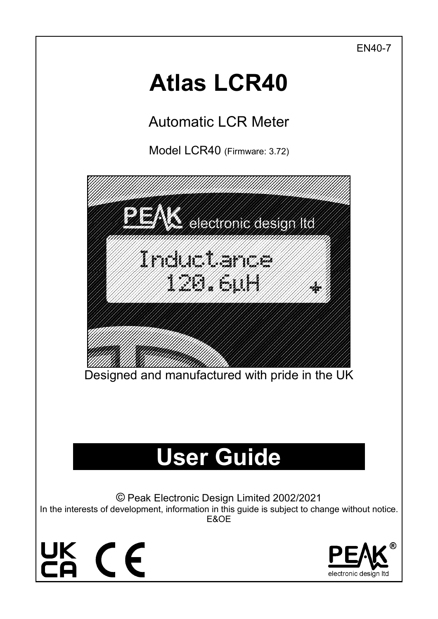EN40-7

# **Atlas LCR40**

Automatic LCR Meter

Model LCR40 (Firmware: 3.72)

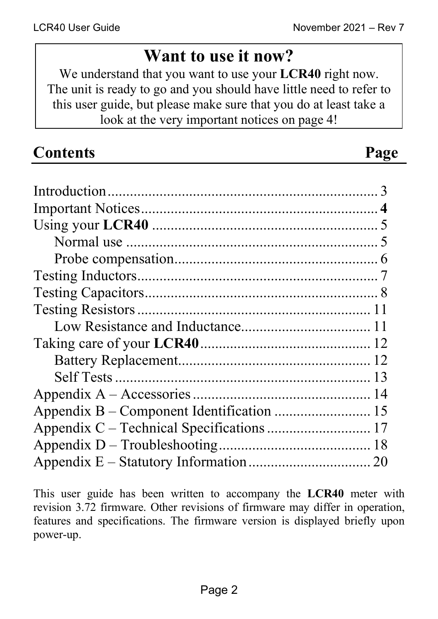# **Want to use it now?**

We understand that you want to use your **LCR40** right now. The unit is ready to go and you should have little need to refer to this user guide, but please make sure that you do at least take a look at the very important notices on page 4!

| <b>Contents</b> | Page |
|-----------------|------|
|                 |      |
|                 |      |
|                 |      |
|                 |      |
|                 |      |
|                 |      |
|                 |      |
|                 |      |
|                 |      |
|                 |      |
|                 |      |
|                 |      |
|                 |      |
|                 |      |
|                 |      |
|                 |      |
|                 |      |

This user guide has been written to accompany the **LCR40** meter with revision 3.72 firmware. Other revisions of firmware may differ in operation, features and specifications. The firmware version is displayed briefly upon power-up.

Appendix E – Statutory Information ................................. 20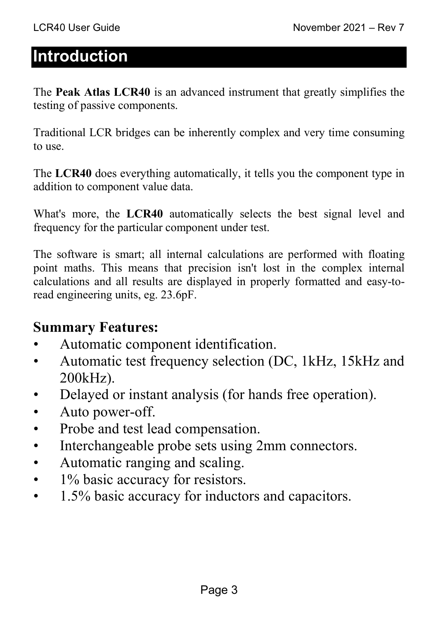# **Introduction**

The **Peak Atlas LCR40** is an advanced instrument that greatly simplifies the testing of passive components.

Traditional LCR bridges can be inherently complex and very time consuming to use.

The **LCR40** does everything automatically, it tells you the component type in addition to component value data.

What's more, the **LCR40** automatically selects the best signal level and frequency for the particular component under test.

The software is smart; all internal calculations are performed with floating point maths. This means that precision isn't lost in the complex internal calculations and all results are displayed in properly formatted and easy-toread engineering units, eg. 23.6pF.

#### **Summary Features:**

- Automatic component identification.
- Automatic test frequency selection (DC, 1kHz, 15kHz and 200kHz).
- Delayed or instant analysis (for hands free operation).
- Auto power-off.
- Probe and test lead compensation.
- Interchangeable probe sets using 2mm connectors.
- Automatic ranging and scaling.
- 1% basic accuracy for resistors.
- 1.5% basic accuracy for inductors and capacitors.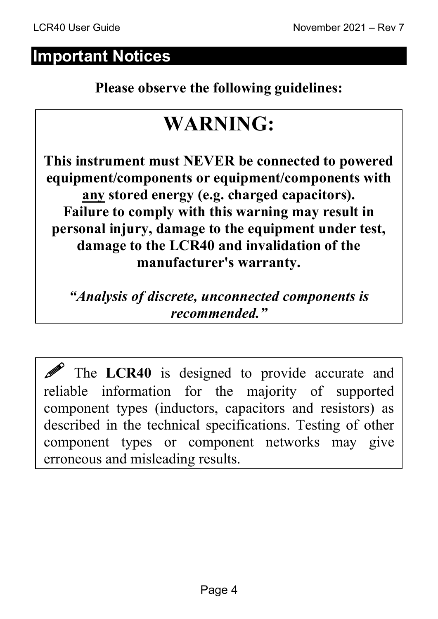## **Important Notices**

**Please observe the following guidelines:** 

# **WARNING:**

**This instrument must NEVER be connected to powered equipment/components or equipment/components with any stored energy (e.g. charged capacitors). Failure to comply with this warning may result in personal injury, damage to the equipment under test, damage to the LCR40 and invalidation of the manufacturer's warranty.** 

*"Analysis of discrete, unconnected components is recommended."* 

The LCR40 is designed to provide accurate and reliable information for the majority of supported component types (inductors, capacitors and resistors) as described in the technical specifications. Testing of other component types or component networks may give erroneous and misleading results.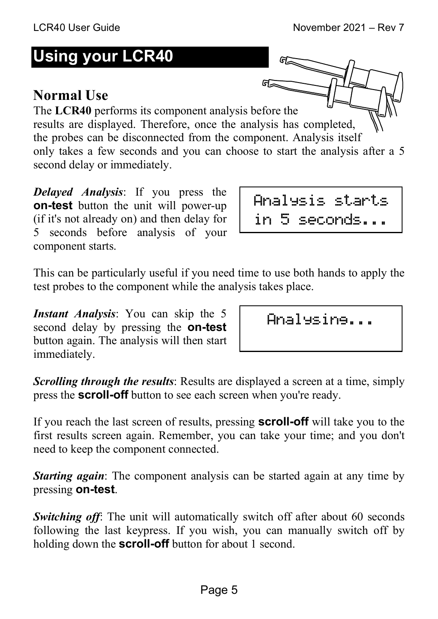# **Using your LCR40**

# **Normal Use**

The **LCR40** performs its component analysis before the results are displayed. Therefore, once the analysis has completed, the probes can be disconnected from the component. Analysis itself only takes a few seconds and you can choose to start the analysis after a 5 second delay or immediately.

*Delayed Analysis*: If you press the **on-test** button the unit will power-up (if it's not already on) and then delay for 5 seconds before analysis of your component starts.

This can be particularly useful if you need time to use both hands to apply the test probes to the component while the analysis takes place.

*Instant Analysis*: You can skip the 5 second delay by pressing the **on-test** button again. The analysis will then start immediately.

*Scrolling through the results*: Results are displayed a screen at a time, simply press the **scroll-off** button to see each screen when you're ready.

If you reach the last screen of results, pressing **scroll-off** will take you to the first results screen again. Remember, you can take your time; and you don't need to keep the component connected.

*Starting again*: The component analysis can be started again at any time by pressing **on-test**.

**Switching off:** The unit will automatically switch off after about 60 seconds following the last keypress. If you wish, you can manually switch off by holding down the **scroll-off** button for about 1 second.

Analysing...

Analysis starts in 5 seconds...

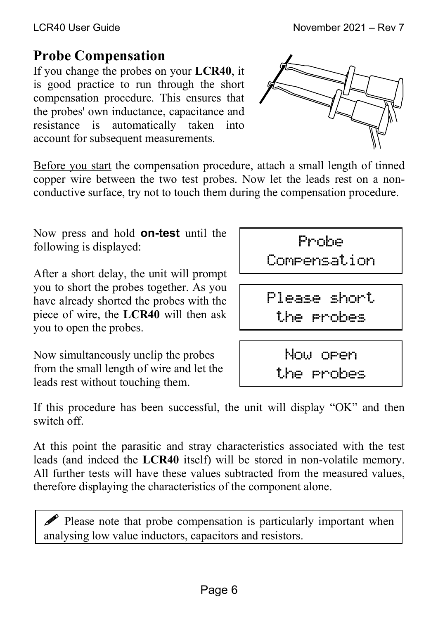#### **Probe Compensation**

If you change the probes on your **LCR40**, it is good practice to run through the short compensation procedure. This ensures that the probes' own inductance, capacitance and resistance is automatically taken into account for subsequent measurements.



Before you start the compensation procedure, attach a small length of tinned copper wire between the two test probes. Now let the leads rest on a nonconductive surface, try not to touch them during the compensation procedure.

Now press and hold **on-test** until the following is displayed:

After a short delay, the unit will prompt you to short the probes together. As you have already shorted the probes with the piece of wire, the **LCR40** will then ask you to open the probes.

Now simultaneously unclip the probes from the small length of wire and let the leads rest without touching them.



Now open the probes

If this procedure has been successful, the unit will display "OK" and then switch off.

At this point the parasitic and stray characteristics associated with the test leads (and indeed the **LCR40** itself) will be stored in non-volatile memory. All further tests will have these values subtracted from the measured values, therefore displaying the characteristics of the component alone.

 $\mathscr P$  Please note that probe compensation is particularly important when analysing low value inductors, capacitors and resistors.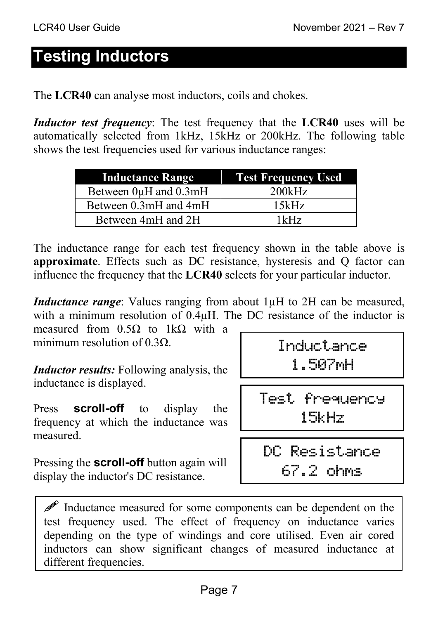# **Testing Inductors**

The **LCR40** can analyse most inductors, coils and chokes.

*Inductor test frequency*: The test frequency that the **LCR40** uses will be automatically selected from 1kHz, 15kHz or 200kHz. The following table shows the test frequencies used for various inductance ranges:

| <b>Inductance Range</b> | <b>Test Frequency Used</b> |
|-------------------------|----------------------------|
| Between 0µH and 0.3mH   | 200kHz                     |
| Between 0.3mH and 4mH   | 15kHz                      |
| Between 4mH and 2H      | 1kHz                       |

The inductance range for each test frequency shown in the table above is **approximate**. Effects such as DC resistance, hysteresis and Q factor can influence the frequency that the **LCR40** selects for your particular inductor.

*Inductance range*: Values ranging from about 1µH to 2H can be measured, with a minimum resolution of 0.4 $\mu$ H. The DC resistance of the inductor is

measured from  $0.5\Omega$  to 1k $\Omega$  with a minimum resolution of 0.3Q.

*Inductor results:* Following analysis, the inductance is displayed.

Press **scroll-off** to display the frequency at which the inductance was measured.

Pressing the **scroll-off** button again will display the inductor's DC resistance.

Inductance 1.507mH

Test frequency 15kHz

DC Resistance 67.2 ohms

 $\mathscr{P}$  Inductance measured for some components can be dependent on the test frequency used. The effect of frequency on inductance varies depending on the type of windings and core utilised. Even air cored inductors can show significant changes of measured inductance at different frequencies.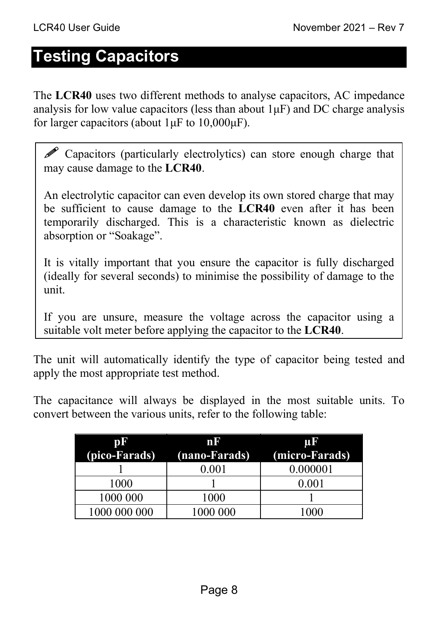## **Testing Capacitors**

The **LCR40** uses two different methods to analyse capacitors, AC impedance analysis for low value capacitors (less than about  $1\mu$ F) and DC charge analysis for larger capacitors (about  $1 \mu$ F to  $10,000 \mu$ F).

 $\mathscr P$  Capacitors (particularly electrolytics) can store enough charge that may cause damage to the **LCR40**.

An electrolytic capacitor can even develop its own stored charge that may be sufficient to cause damage to the **LCR40** even after it has been temporarily discharged. This is a characteristic known as dielectric absorption or "Soakage".

It is vitally important that you ensure the capacitor is fully discharged (ideally for several seconds) to minimise the possibility of damage to the unit.

If you are unsure, measure the voltage across the capacitor using a suitable volt meter before applying the capacitor to the **LCR40**.

The unit will automatically identify the type of capacitor being tested and apply the most appropriate test method.

The capacitance will always be displayed in the most suitable units. To convert between the various units, refer to the following table:

| DF            | mK            | TT 3           |
|---------------|---------------|----------------|
| (pico-Farads) | (nano-Farads) | (micro-Farads) |
|               | $0.001\,$     | 0.000001       |
| 1000          |               | 0.001          |
| 1000 000      | 1000          |                |
| 1000 000 000  | 1000 000      |                |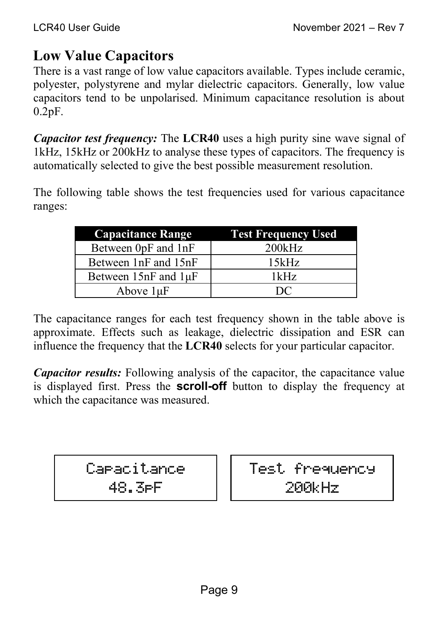#### **Low Value Capacitors**

There is a vast range of low value capacitors available. Types include ceramic, polyester, polystyrene and mylar dielectric capacitors. Generally, low value capacitors tend to be unpolarised. Minimum capacitance resolution is about 0.2pF.

*Capacitor test frequency:* The **LCR40** uses a high purity sine wave signal of 1kHz, 15kHz or 200kHz to analyse these types of capacitors. The frequency is automatically selected to give the best possible measurement resolution.

The following table shows the test frequencies used for various capacitance ranges:

| <b>Capacitance Range</b> | <b>Test Frequency Used</b> |
|--------------------------|----------------------------|
| Between 0pF and 1nF      | 200kHz                     |
| Between 1nF and 15nF     | 15kHz                      |
| Between 15nF and 1µF     | 1kHz                       |
| Above $1\mu F$           | $D^{\prime}$               |

The capacitance ranges for each test frequency shown in the table above is approximate. Effects such as leakage, dielectric dissipation and ESR can influence the frequency that the **LCR40** selects for your particular capacitor.

*Capacitor results:* Following analysis of the capacitor, the capacitance value is displayed first. Press the **scroll-off** button to display the frequency at which the capacitance was measured.

Capacitance

48.3pF

Test frequency 200kHz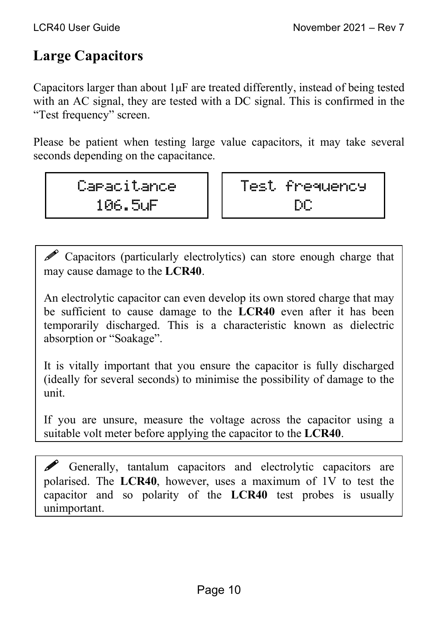#### **Large Capacitors**

Capacitors larger than about 1μF are treated differently, instead of being tested with an AC signal, they are tested with a DC signal. This is confirmed in the "Test frequency" screen.

Please be patient when testing large value capacitors, it may take several seconds depending on the capacitance.

> Capacitance 106.5uF

Test frequency DC

 Capacitors (particularly electrolytics) can store enough charge that may cause damage to the **LCR40**.

An electrolytic capacitor can even develop its own stored charge that may be sufficient to cause damage to the **LCR40** even after it has been temporarily discharged. This is a characteristic known as dielectric absorption or "Soakage".

It is vitally important that you ensure the capacitor is fully discharged (ideally for several seconds) to minimise the possibility of damage to the unit.

If you are unsure, measure the voltage across the capacitor using a suitable volt meter before applying the capacitor to the **LCR40**.

 Generally, tantalum capacitors and electrolytic capacitors are polarised. The **LCR40**, however, uses a maximum of 1V to test the capacitor and so polarity of the **LCR40** test probes is usually unimportant.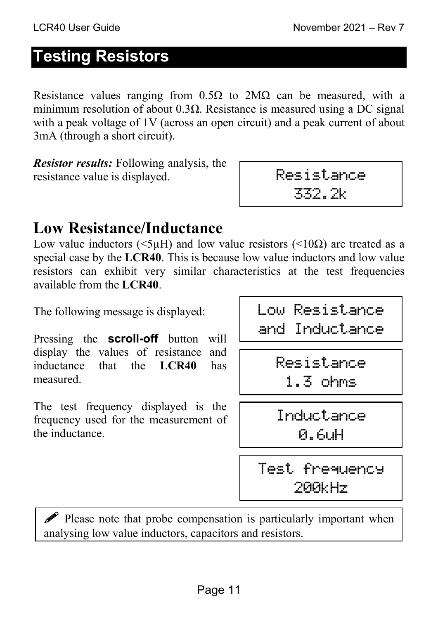# **Testing Resistors**

Resistance values ranging from  $0.5\Omega$  to  $2M\Omega$  can be measured, with a minimum resolution of about  $0.3\Omega$ . Resistance is measured using a DC signal with a peak voltage of 1V (across an open circuit) and a peak current of about 3mA (through a short circuit).

*Resistor results:* Following analysis, the resistance value is displayed.

| œ<br><br>11 | ┅<br>- | m |
|-------------|--------|---|
| --          |        |   |

### **Low Resistance/Inductance**

Low value inductors ( $\leq 5\mu$ H) and low value resistors ( $\leq 10\Omega$ ) are treated as a special case by the **LCR40**. This is because low value inductors and low value resistors can exhibit very similar characteristics at the test frequencies available from the **LCR40**.

The following message is displayed:

Pressing the **scroll-off** button will display the values of resistance and inductance that the **LCR40** has measured.

The test frequency displayed is the frequency used for the measurement of the inductance.

Low Resistance and Inductance

> Resistance 1.3 ohms

Inductance 0.6uH

Test frequency 200kHz

 $\mathscr P$  Please note that probe compensation is particularly important when analysing low value inductors, capacitors and resistors.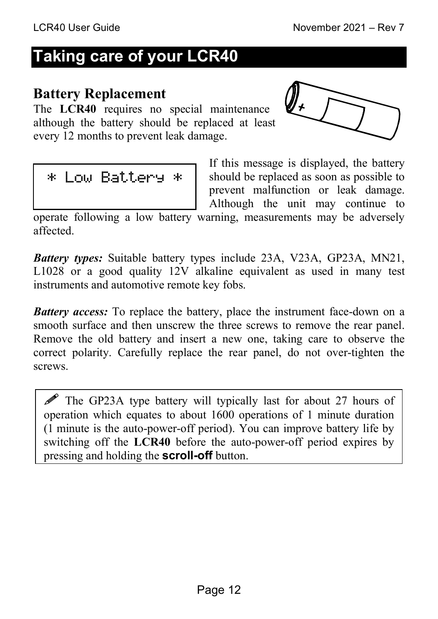# **Taking care of your LCR40**

#### **Battery Replacement**

The **LCR40** requires no special maintenance although the battery should be replaced at least every 12 months to prevent leak damage.





If this message is displayed, the battery should be replaced as soon as possible to prevent malfunction or leak damage. Although the unit may continue to

operate following a low battery warning, measurements may be adversely affected.

*Battery types:* Suitable battery types include 23A, V23A, GP23A, MN21, L1028 or a good quality 12V alkaline equivalent as used in many test instruments and automotive remote key fobs.

*Battery access:* To replace the battery, place the instrument face-down on a smooth surface and then unscrew the three screws to remove the rear panel. Remove the old battery and insert a new one, taking care to observe the correct polarity. Carefully replace the rear panel, do not over-tighten the screws.

 The GP23A type battery will typically last for about 27 hours of operation which equates to about 1600 operations of 1 minute duration (1 minute is the auto-power-off period). You can improve battery life by switching off the **LCR40** before the auto-power-off period expires by pressing and holding the **scroll-off** button.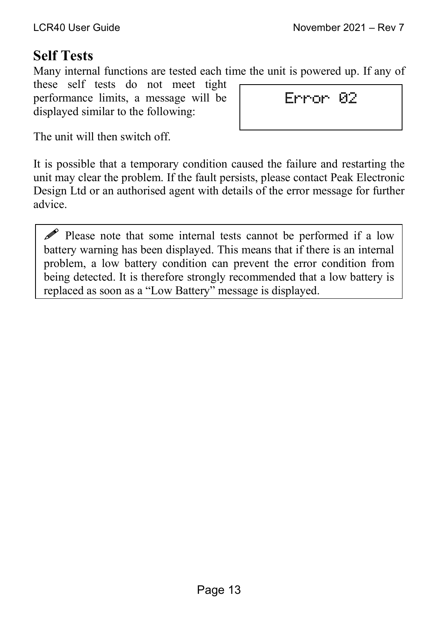#### **Self Tests**

Many internal functions are tested each time the unit is powered up. If any of

these self tests do not meet tight performance limits, a message will be displayed similar to the following:

Error 02

The unit will then switch off.

It is possible that a temporary condition caused the failure and restarting the unit may clear the problem. If the fault persists, please contact Peak Electronic Design Ltd or an authorised agent with details of the error message for further advice.

 Please note that some internal tests cannot be performed if a low battery warning has been displayed. This means that if there is an internal problem, a low battery condition can prevent the error condition from being detected. It is therefore strongly recommended that a low battery is replaced as soon as a "Low Battery" message is displayed.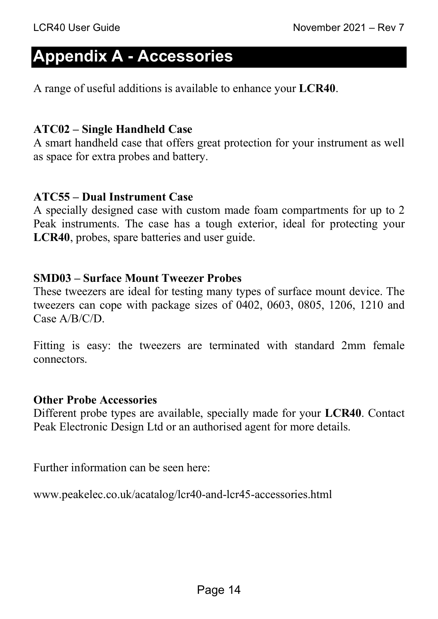### **Appendix A - Accessories**

A range of useful additions is available to enhance your **LCR40**.

#### **ATC02 – Single Handheld Case**

A smart handheld case that offers great protection for your instrument as well as space for extra probes and battery.

#### **ATC55 – Dual Instrument Case**

A specially designed case with custom made foam compartments for up to 2 Peak instruments. The case has a tough exterior, ideal for protecting your **LCR40**, probes, spare batteries and user guide.

#### **SMD03 – Surface Mount Tweezer Probes**

These tweezers are ideal for testing many types of surface mount device. The tweezers can cope with package sizes of 0402, 0603, 0805, 1206, 1210 and Case A/B/C/D.

Fitting is easy: the tweezers are terminated with standard 2mm female connectors.

#### **Other Probe Accessories**

Different probe types are available, specially made for your **LCR40**. Contact Peak Electronic Design Ltd or an authorised agent for more details.

Further information can be seen here:

www.peakelec.co.uk/acatalog/lcr40-and-lcr45-accessories.html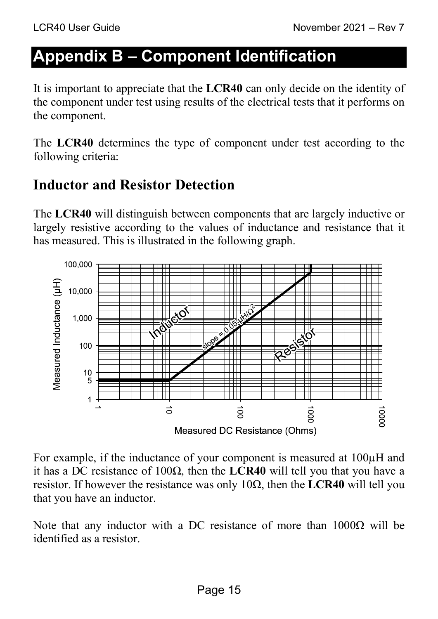# **Appendix B – Component Identification**

It is important to appreciate that the **LCR40** can only decide on the identity of the component under test using results of the electrical tests that it performs on the component.

The **LCR40** determines the type of component under test according to the following criteria:

#### **Inductor and Resistor Detection**

The **LCR40** will distinguish between components that are largely inductive or largely resistive according to the values of inductance and resistance that it has measured. This is illustrated in the following graph.



For example, if the inductance of your component is measured at 100µH and it has a DC resistance of 100Ω, then the **LCR40** will tell you that you have a resistor. If however the resistance was only 10Ω, then the **LCR40** will tell you that you have an inductor.

Note that any inductor with a DC resistance of more than  $1000\Omega$  will be identified as a resistor.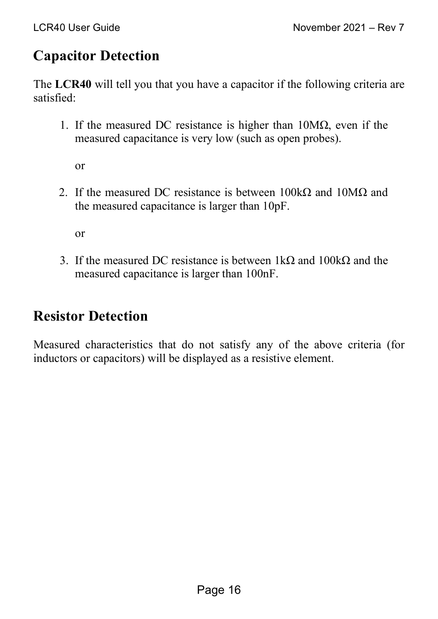### **Capacitor Detection**

The **LCR40** will tell you that you have a capacitor if the following criteria are satisfied:

1. If the measured DC resistance is higher than  $10M\Omega$ , even if the measured capacitance is very low (such as open probes).

or

2. If the measured DC resistance is between  $100k\Omega$  and  $10M\Omega$  and the measured capacitance is larger than 10pF.

or

3. If the measured DC resistance is between  $1k\Omega$  and  $100k\Omega$  and the measured capacitance is larger than 100nF.

#### **Resistor Detection**

Measured characteristics that do not satisfy any of the above criteria (for inductors or capacitors) will be displayed as a resistive element.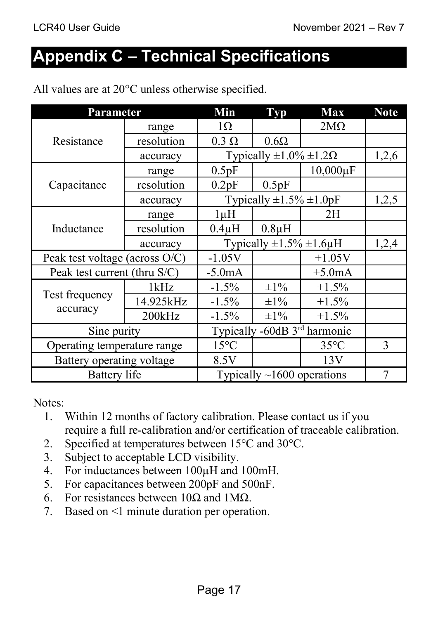# **Appendix C – Technical Specifications**

| <b>Parameter</b>               |            | Min                                 | <b>Typ</b>  | <b>Max</b>                   | <b>Note</b> |
|--------------------------------|------------|-------------------------------------|-------------|------------------------------|-------------|
| Resistance                     | range      | $1\Omega$                           |             | $2M\Omega$                   |             |
|                                | resolution | $0.3 \Omega$                        | $0.6\Omega$ |                              |             |
|                                | accuracy   | Typically $\pm 1.0\% \pm 1.2\Omega$ |             | 1,2,6                        |             |
|                                | range      | 0.5pF                               |             | $10,000 \mu F$               |             |
| Capacitance                    | resolution | 0.2pF                               | 0.5pF       |                              |             |
|                                | accuracy   | Typically $\pm 1.5\% \pm 1.0$ pF    |             | 1,2,5                        |             |
|                                | range      | $1 \mu H$                           |             | 2H                           |             |
| Inductance                     | resolution | $0.4\mu H$                          | $0.8\mu H$  |                              |             |
|                                | accuracy   | Typically $\pm 1.5\% \pm 1.6 \mu$ H |             | 1,2,4                        |             |
| Peak test voltage (across O/C) |            | $-1.05V$                            |             | $+1.05V$                     |             |
| Peak test current (thru S/C)   |            | $-5.0mA$                            |             | $+5.0mA$                     |             |
|                                | 1kHz       | $-1.5\%$                            | $\pm 1\%$   | $+1.5%$                      |             |
| Test frequency                 | 14.925kHz  | $-1.5\%$                            | $\pm 1\%$   | $+1.5%$                      |             |
| accuracy                       | 200kHz     | $-1.5%$                             | $\pm 1\%$   | $+1.5%$                      |             |
| Sine purity                    |            |                                     |             | Typically -60dB 3rd harmonic |             |
| Operating temperature range    |            | $15^{\circ}$ C                      |             | $35^{\circ}$ C               | 3           |
| Battery operating voltage      |            | 8.5V                                |             | 13V                          |             |
| <b>Battery</b> life            |            | Typically $\sim$ 1600 operations    |             | 7                            |             |

All values are at  $20^{\circ}$ C unless otherwise specified.

Notes:

- 1. Within 12 months of factory calibration. Please contact us if you require a full re-calibration and/or certification of traceable calibration.
- 2. Specified at temperatures between 15°C and 30°C.
- 3. Subject to acceptable LCD visibility.
- 4. For inductances between 100µH and 100mH.
- 5. For capacitances between 200pF and 500nF.
- 6. For resistances between 10Ω and 1MΩ.
- 7. Based on <1 minute duration per operation.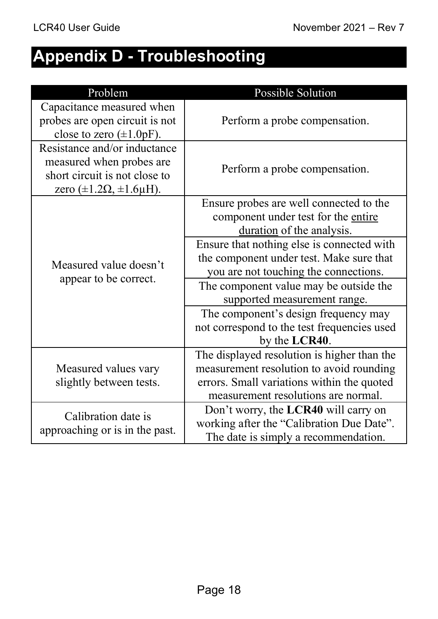# **Appendix D - Troubleshooting**

| Problem                                                                                                                             | Possible Solution                                                                                           |  |
|-------------------------------------------------------------------------------------------------------------------------------------|-------------------------------------------------------------------------------------------------------------|--|
| Capacitance measured when<br>probes are open circuit is not<br>close to zero $(\pm 1.0pF)$ .                                        | Perform a probe compensation.                                                                               |  |
| Resistance and/or inductance<br>measured when probes are<br>short circuit is not close to<br>zero $(\pm 1.2\Omega, \pm 1.6\mu H)$ . | Perform a probe compensation.                                                                               |  |
| Measured value doesn't                                                                                                              | Ensure probes are well connected to the<br>component under test for the entire<br>duration of the analysis. |  |
|                                                                                                                                     | Ensure that nothing else is connected with                                                                  |  |
|                                                                                                                                     | the component under test. Make sure that                                                                    |  |
| appear to be correct.                                                                                                               | you are not touching the connections.                                                                       |  |
|                                                                                                                                     | The component value may be outside the                                                                      |  |
|                                                                                                                                     | supported measurement range.                                                                                |  |
|                                                                                                                                     | The component's design frequency may                                                                        |  |
|                                                                                                                                     | not correspond to the test frequencies used                                                                 |  |
|                                                                                                                                     | by the LCR40.                                                                                               |  |
|                                                                                                                                     | The displayed resolution is higher than the                                                                 |  |
| Measured values vary<br>slightly between tests.                                                                                     | measurement resolution to avoid rounding                                                                    |  |
|                                                                                                                                     | errors. Small variations within the quoted                                                                  |  |
|                                                                                                                                     | measurement resolutions are normal.                                                                         |  |
| Calibration date is<br>approaching or is in the past.                                                                               | Don't worry, the LCR40 will carry on                                                                        |  |
|                                                                                                                                     | working after the "Calibration Due Date".                                                                   |  |
|                                                                                                                                     | The date is simply a recommendation.                                                                        |  |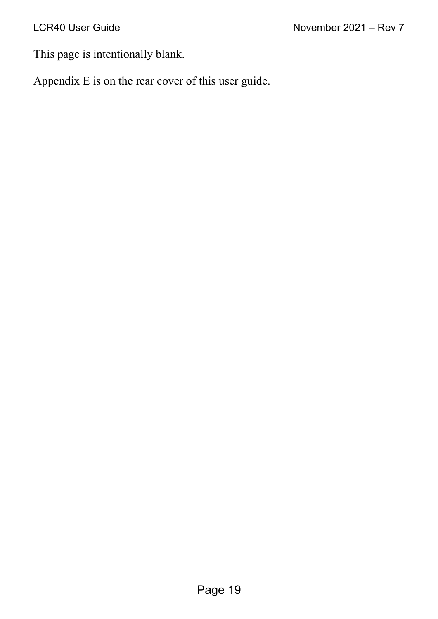This page is intentionally blank.

Appendix E is on the rear cover of this user guide.